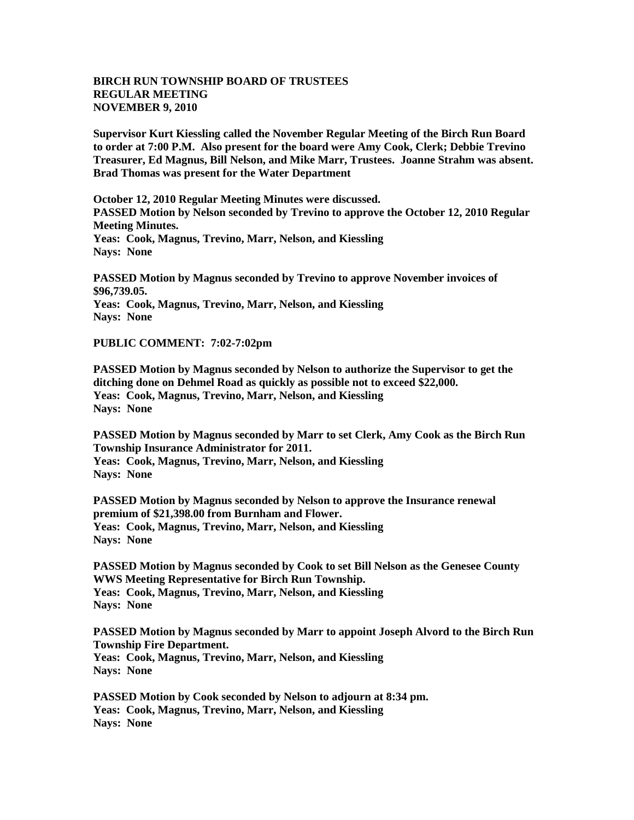## **BIRCH RUN TOWNSHIP BOARD OF TRUSTEES REGULAR MEETING NOVEMBER 9, 2010**

**Supervisor Kurt Kiessling called the November Regular Meeting of the Birch Run Board to order at 7:00 P.M. Also present for the board were Amy Cook, Clerk; Debbie Trevino Treasurer, Ed Magnus, Bill Nelson, and Mike Marr, Trustees. Joanne Strahm was absent. Brad Thomas was present for the Water Department**

**October 12, 2010 Regular Meeting Minutes were discussed. PASSED Motion by Nelson seconded by Trevino to approve the October 12, 2010 Regular Meeting Minutes. Yeas: Cook, Magnus, Trevino, Marr, Nelson, and Kiessling**

**Nays: None**

**PASSED Motion by Magnus seconded by Trevino to approve November invoices of \$96,739.05. Yeas: Cook, Magnus, Trevino, Marr, Nelson, and Kiessling Nays: None**

**PUBLIC COMMENT: 7:02-7:02pm**

**PASSED Motion by Magnus seconded by Nelson to authorize the Supervisor to get the ditching done on Dehmel Road as quickly as possible not to exceed \$22,000. Yeas: Cook, Magnus, Trevino, Marr, Nelson, and Kiessling Nays: None**

**PASSED Motion by Magnus seconded by Marr to set Clerk, Amy Cook as the Birch Run Township Insurance Administrator for 2011. Yeas: Cook, Magnus, Trevino, Marr, Nelson, and Kiessling Nays: None**

**PASSED Motion by Magnus seconded by Nelson to approve the Insurance renewal premium of \$21,398.00 from Burnham and Flower. Yeas: Cook, Magnus, Trevino, Marr, Nelson, and Kiessling Nays: None**

**PASSED Motion by Magnus seconded by Cook to set Bill Nelson as the Genesee County WWS Meeting Representative for Birch Run Township. Yeas: Cook, Magnus, Trevino, Marr, Nelson, and Kiessling Nays: None**

**PASSED Motion by Magnus seconded by Marr to appoint Joseph Alvord to the Birch Run Township Fire Department. Yeas: Cook, Magnus, Trevino, Marr, Nelson, and Kiessling Nays: None**

**PASSED Motion by Cook seconded by Nelson to adjourn at 8:34 pm. Yeas: Cook, Magnus, Trevino, Marr, Nelson, and Kiessling Nays: None**